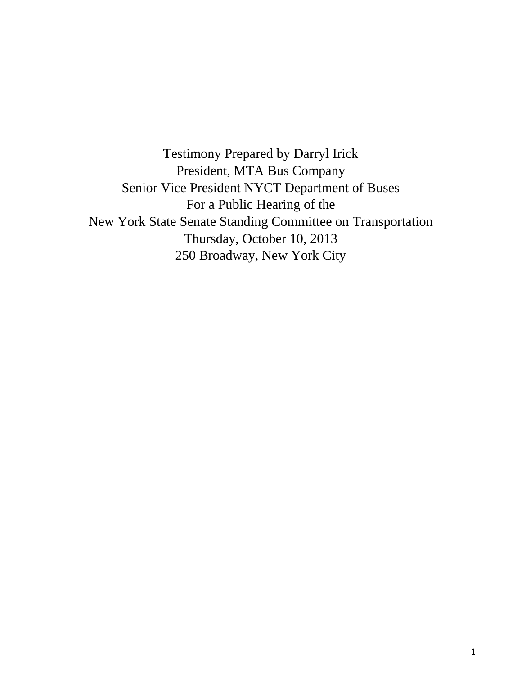Testimony Prepared by Darryl Irick President, MTA Bus Company Senior Vice President NYCT Department of Buses For a Public Hearing of the New York State Senate Standing Committee on Transportation Thursday, October 10, 2013 250 Broadway, New York City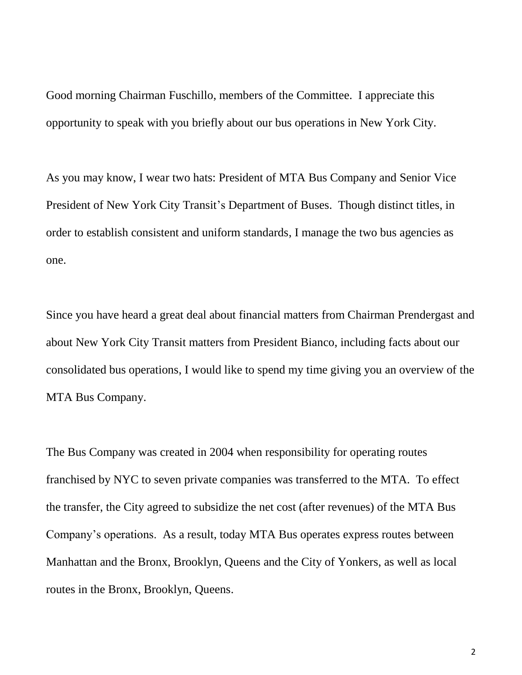Good morning Chairman Fuschillo, members of the Committee. I appreciate this opportunity to speak with you briefly about our bus operations in New York City.

As you may know, I wear two hats: President of MTA Bus Company and Senior Vice President of New York City Transit's Department of Buses. Though distinct titles, in order to establish consistent and uniform standards, I manage the two bus agencies as one.

Since you have heard a great deal about financial matters from Chairman Prendergast and about New York City Transit matters from President Bianco, including facts about our consolidated bus operations, I would like to spend my time giving you an overview of the MTA Bus Company.

The Bus Company was created in 2004 when responsibility for operating routes franchised by NYC to seven private companies was transferred to the MTA. To effect the transfer, the City agreed to subsidize the net cost (after revenues) of the MTA Bus Company's operations. As a result, today MTA Bus operates express routes between Manhattan and the Bronx, Brooklyn, Queens and the City of Yonkers, as well as local routes in the Bronx, Brooklyn, Queens.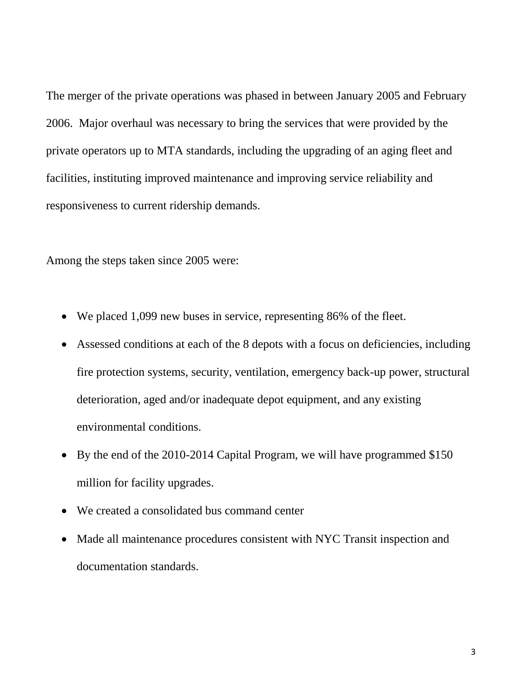The merger of the private operations was phased in between January 2005 and February 2006. Major overhaul was necessary to bring the services that were provided by the private operators up to MTA standards, including the upgrading of an aging fleet and facilities, instituting improved maintenance and improving service reliability and responsiveness to current ridership demands.

Among the steps taken since 2005 were:

- We placed 1,099 new buses in service, representing 86% of the fleet.
- Assessed conditions at each of the 8 depots with a focus on deficiencies, including fire protection systems, security, ventilation, emergency back-up power, structural deterioration, aged and/or inadequate depot equipment, and any existing environmental conditions.
- By the end of the 2010-2014 Capital Program, we will have programmed \$150 million for facility upgrades.
- We created a consolidated bus command center
- Made all maintenance procedures consistent with NYC Transit inspection and documentation standards.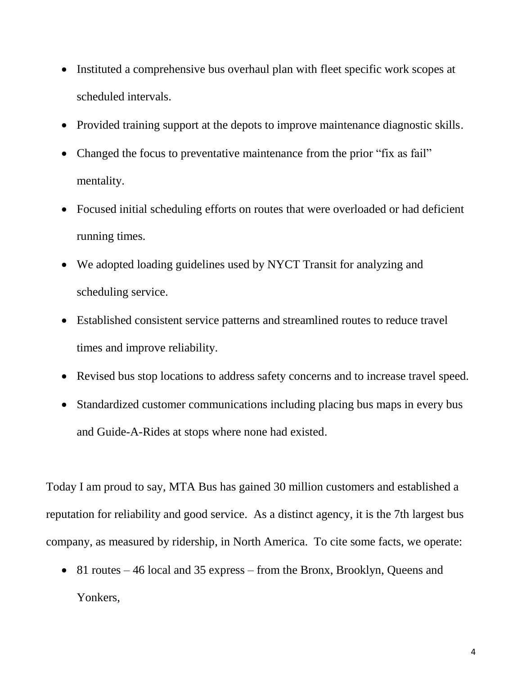- Instituted a comprehensive bus overhaul plan with fleet specific work scopes at scheduled intervals.
- Provided training support at the depots to improve maintenance diagnostic skills.
- Changed the focus to preventative maintenance from the prior "fix as fail" mentality.
- Focused initial scheduling efforts on routes that were overloaded or had deficient running times.
- We adopted loading guidelines used by NYCT Transit for analyzing and scheduling service.
- Established consistent service patterns and streamlined routes to reduce travel times and improve reliability.
- Revised bus stop locations to address safety concerns and to increase travel speed.
- Standardized customer communications including placing bus maps in every bus and Guide-A-Rides at stops where none had existed.

Today I am proud to say, MTA Bus has gained 30 million customers and established a reputation for reliability and good service. As a distinct agency, it is the 7th largest bus company, as measured by ridership, in North America. To cite some facts, we operate:

• 81 routes – 46 local and 35 express – from the Bronx, Brooklyn, Queens and Yonkers,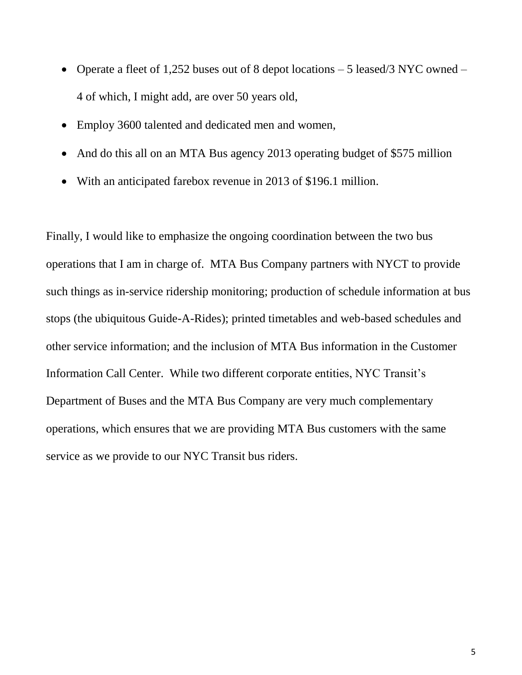- Operate a fleet of 1,252 buses out of 8 depot locations  $-5$  leased/3 NYC owned  $-$ 4 of which, I might add, are over 50 years old,
- Employ 3600 talented and dedicated men and women,
- And do this all on an MTA Bus agency 2013 operating budget of \$575 million
- With an anticipated farebox revenue in 2013 of \$196.1 million.

Finally, I would like to emphasize the ongoing coordination between the two bus operations that I am in charge of. MTA Bus Company partners with NYCT to provide such things as in-service ridership monitoring; production of schedule information at bus stops (the ubiquitous Guide-A-Rides); printed timetables and web-based schedules and other service information; and the inclusion of MTA Bus information in the Customer Information Call Center. While two different corporate entities, NYC Transit's Department of Buses and the MTA Bus Company are very much complementary operations, which ensures that we are providing MTA Bus customers with the same service as we provide to our NYC Transit bus riders.